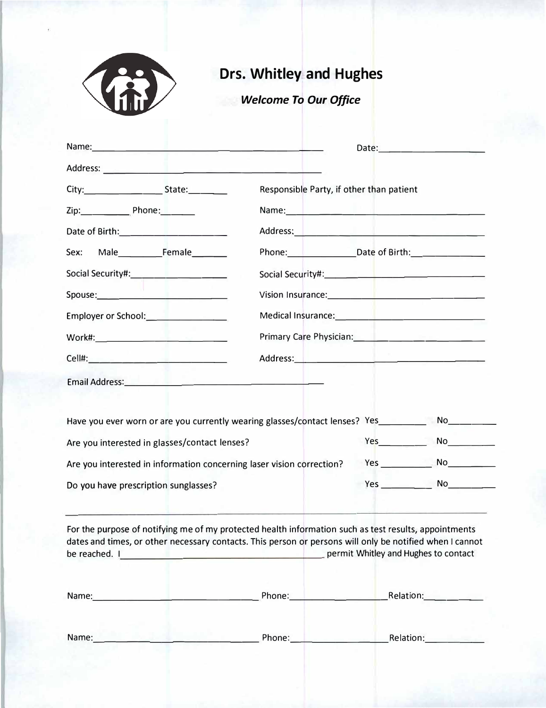

# **Drs. Whitley and Hughes**

## *Welcome To Our Office*

|                                                                                                      |                                                                                                                                                                                                                               | Date: 1990 - 1991 - 1992 - 1992 - 1992 - 1992 - 1992 - 1992 - 1992 - 1992 - 1992 - 1992 - 1992 - 1993 - 1993 -                                                                                                                      |                           |
|------------------------------------------------------------------------------------------------------|-------------------------------------------------------------------------------------------------------------------------------------------------------------------------------------------------------------------------------|-------------------------------------------------------------------------------------------------------------------------------------------------------------------------------------------------------------------------------------|---------------------------|
|                                                                                                      |                                                                                                                                                                                                                               |                                                                                                                                                                                                                                     |                           |
| Cell# __________________                                                                             | Responsible Party, if other than patient                                                                                                                                                                                      |                                                                                                                                                                                                                                     |                           |
| Work#________________________                                                                        | Name: Name: Name: Name: Name: Name: Name: Name: Name: Name: Name: Name: Name: Name: Name: Name: Name: Name: Name: Name: Name: Name: Name: Name: Name: Name: Name: Name: Name: Name: Name: Name: Name: Name: Name: Name: Name: |                                                                                                                                                                                                                                     |                           |
| Employer or School: <u>______________</u>                                                            | Address: New York Products and Products and Products and Products and Products and Products and Products and P                                                                                                                |                                                                                                                                                                                                                                     |                           |
| Date of Birth: The Contract of Birth:                                                                | Phone: Date of Birth:                                                                                                                                                                                                         |                                                                                                                                                                                                                                     |                           |
| Sex: Male or Female                                                                                  |                                                                                                                                                                                                                               |                                                                                                                                                                                                                                     |                           |
| Spouse: Spouse: Spouse: Spouse: Spouse: Spouse: Spouse: Spouse: Spouse: Spouse: Spouse: Spouse: Spou |                                                                                                                                                                                                                               |                                                                                                                                                                                                                                     |                           |
| Date of Birth: _______________                                                                       | Medical Insurance: New York Change and Service Change and Service Change and Service Change and Service Change and                                                                                                            |                                                                                                                                                                                                                                     |                           |
| Social Security#____________________<br>Employer:_________________________                           | Primary Care Physician: 2008. [2010] Primary Care Physician:                                                                                                                                                                  |                                                                                                                                                                                                                                     |                           |
|                                                                                                      |                                                                                                                                                                                                                               |                                                                                                                                                                                                                                     |                           |
| Have you ever worn or are you currently wearing glasses/contact lenses? Yes _______                  |                                                                                                                                                                                                                               |                                                                                                                                                                                                                                     | No $\qquad \qquad \qquad$ |
| Are you interested in glasses/contact lenses?                                                        |                                                                                                                                                                                                                               | $Yes$ ________                                                                                                                                                                                                                      |                           |
| Are you interested in information concerning laser vision correction?                                |                                                                                                                                                                                                                               | <b>Yes</b> and the set of the set of the set of the set of the set of the set of the set of the set of the set of the set of the set of the set of the set of the set of the set of the set of the set of the set of the set of the | No                        |
| Do you have prescription sunglasses?<br>the state of the second control of the state                 |                                                                                                                                                                                                                               |                                                                                                                                                                                                                                     |                           |

For the purpose of notifying me of my protected health information such as test results, appointments dates and times, or other necessary contacts. This person or persons will only be notified when I cannot be reached. I permit Whitley and Hughes to contact

| Name: | Phone: | Relation: |
|-------|--------|-----------|
| Name: | Phone: | Relation. |

#### Cuukip o gpv"cpf"Tgngcug

 $\texttt{K."} \texttt{vjg} \texttt{w} \texttt{p} \texttt{f} \texttt{g} \texttt{t} \texttt{u} \texttt{k} \texttt{p} \texttt{v} \texttt{g} \texttt{g} \texttt{k} \texttt{b} \{\texttt{vjcv} \texttt{K} \texttt{w} \texttt{s} \texttt{q} \texttt{v} \texttt{o} \texttt{f} \texttt{f} \texttt{g} \texttt{g} \texttt{p} \texttt{g} \texttt{p} \texttt{v} \texttt{f} \texttt{j} \texttt{c} \texttt{x} \texttt{g} \texttt{w} \texttt$ ykvjaaaaaaaaaaacpf"cuukip"fktgevn{"vq"Ftu00"Yjkvng{"cpf"Jwijgu"cnn"kpuwtcpeg"  $\label{eq:Gpp} \text{dgpghkvu."}$  <br/> $\text{dgpghkvu."}$  $K''c$ o "hkpcpekcm{"tgurqpukdng"hqt"cm"ejctigu"yjgvjgt"qt"pqv"rckf"d{" kpuwtcpeg0'K"jgtgd{"cwvjqtk|g"vjg"wug"qh"vjku"ukipcvwtg"qp"cnn"kpuwtcpeg" uwd o kuukqpu0"

 $\text{Rcvkgpv}$ "Ukipcvwtgaaaaaaaaaaaaaaaaaaaa <br>

**Ogfkecn**"Cwvjqtk|cvkqp

K"tgswguv"vjcv"rc{ogpv"qh"cwvjqtk|gf"Ogfkectg"dgpghkvu"dg"ocfg" **ROUP'** O {"dgjcnh"vq"Ftu0"**Y** jkvng{"cpf"Jwijgu"hqt"ugtxkegu"hwtpkujgf"  $\mathbf{vq}^{\text{w}}$ o g"d{"**Ftu0"Y** jkvng{"cpf"**J** wijgu0"I authorize any holder of medical information about me be released to the Division of Medicare and Medicaid Services and its agents and any information needed to determine those benefits payable for related services. **I understand my signature requests that payment be made and authorizes release of medical information necessary to pay claim. If "other health insurance" is indicated in item 9 of HCFA-1500 form.**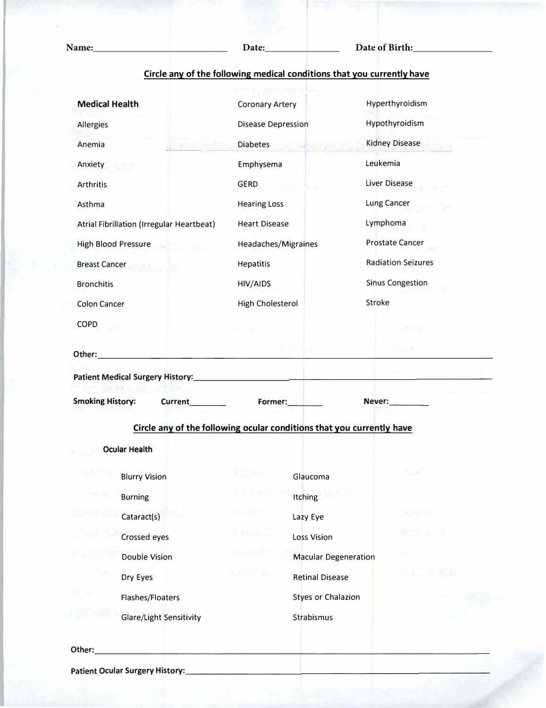**Name:\_\_\_\_\_\_\_\_\_\_\_\_\_\_\_\_\_\_\_\_\_\_\_\_\_\_\_ Date:\_\_\_\_\_\_\_\_\_\_\_\_\_\_\_ Date of Birth:\_\_\_\_\_\_\_\_\_\_\_\_\_\_\_\_**

|                                           | Circle any of the following medical conditions that you currently have | Coronary Artery         |
|-------------------------------------------|------------------------------------------------------------------------|-------------------------|
|                                           |                                                                        | Disease Depression      |
| <b>Medical Health</b>                     | <b>Hearing Loss</b>                                                    | Diabetes Emphysema      |
| Allergies                                 | <b>Heart Disease</b>                                                   | <b>GERD</b>             |
| Anemia                                    | Headaches/Migraines                                                    | <b>Hearing Loss</b>     |
| Anxiety                                   | Hepatitis                                                              | <b>Heart Disease</b>    |
| <b>Arthritis</b>                          | HIV/AIDS                                                               | Headaches/Migraines     |
| Asthma                                    | High Cholesterol                                                       | Hepatitis               |
| Atrial Fibrillation (Irregular Heartbeat) | Hyperthyroidism                                                        | <b>HIV/AIDS</b>         |
| <b>High Blood Pressure</b>                | Hypothyroidism                                                         | <b>High Cholesterol</b> |
| <b>Breast Cancer</b>                      | <b>Kidney Disease</b>                                                  |                         |
| <b>Bronchitis</b>                         | Leukemia                                                               | エルクラム                   |
| <b>Colon Cancer</b>                       | Liver Disease Lung Cancer                                              | min Kask                |
| <b>COPD</b>                               | Lymphoma Prostate Cancer                                               |                         |
| <b>Coronary Artery Disease Depression</b> | <b>Radiation Seizures Sinus</b>                                        |                         |
| Diabetes Emphysema                        | <b>Congestion Stroke</b>                                               | <b>UTAN DR</b>          |
| <b>GERD</b>                               |                                                                        |                         |
| 2010 Hotel                                |                                                                        |                         |
| 1930 (p. n. l.)                           |                                                                        | NO TYPOD                |
|                                           | The Call of the Sea                                                    |                         |
| Other:                                    |                                                                        |                         |
| Patient Medical Surgery History:_________ |                                                                        |                         |
| <b>Smoking History:</b><br><b>Current</b> |                                                                        | Never:                  |
|                                           | Former:                                                                |                         |
|                                           | Circle any of the following ocular conditions that you currently have  |                         |
| <b>Ocular Health</b>                      |                                                                        |                         |
| <b>Blurry Vision</b>                      | Glaucoma                                                               | Scott                   |
| <b>Burning</b>                            | Itching                                                                |                         |
| Cataract(s)                               | Lazy Eye                                                               |                         |
| Crossed eyes                              | <b>Loss Vision</b>                                                     |                         |
| <b>Double Vision</b>                      | <b>Macular Degeneration</b>                                            |                         |
| Dry Eyes                                  | <b>Retinal Disease</b>                                                 |                         |
| Flashes/Floaters                          | <b>Styes or Chalazion</b>                                              |                         |
| <b>Glare/Light Sensitivity</b>            |                                                                        |                         |
|                                           |                                                                        |                         |
| Other:                                    |                                                                        |                         |

Patient Ocular Surgery History: